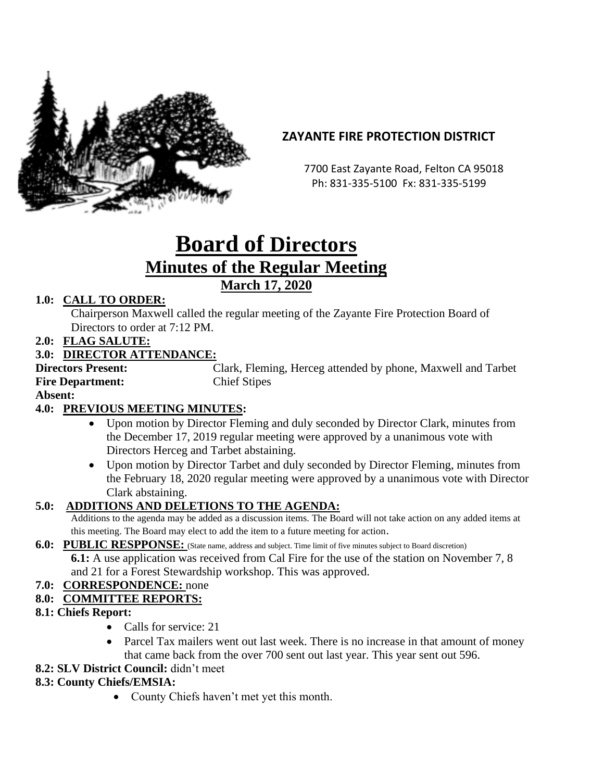

## **ZAYANTE FIRE PROTECTION DISTRICT**

 7700 East Zayante Road, Felton CA 95018 Ph: 831-335-5100 Fx: 831-335-5199

# **Board of Directors Minutes of the Regular Meeting March 17, 2020**

## **1.0: CALL TO ORDER:**

Chairperson Maxwell called the regular meeting of the Zayante Fire Protection Board of Directors to order at 7:12 PM.

**2.0: FLAG SALUTE:**

#### **3.0: DIRECTOR ATTENDANCE:**

**Directors Present:** Clark, Fleming, Herceg attended by phone, Maxwell and Tarbet **Fire Department:** Chief Stipes

**Absent:** 

## **4.0: PREVIOUS MEETING MINUTES:**

- Upon motion by Director Fleming and duly seconded by Director Clark, minutes from the December 17, 2019 regular meeting were approved by a unanimous vote with Directors Herceg and Tarbet abstaining.
- Upon motion by Director Tarbet and duly seconded by Director Fleming, minutes from the February 18, 2020 regular meeting were approved by a unanimous vote with Director Clark abstaining.

## **5.0: ADDITIONS AND DELETIONS TO THE AGENDA:**

Additions to the agenda may be added as a discussion items. The Board will not take action on any added items at this meeting. The Board may elect to add the item to a future meeting for action.

**6.0: PUBLIC RESPPONSE:** (State name, address and subject. Time limit of five minutes subject to Board discretion)

**6.1:** A use application was received from Cal Fire for the use of the station on November 7, 8 and 21 for a Forest Stewardship workshop. This was approved.

**7.0: CORRESPONDENCE:** none

## **8.0: COMMITTEE REPORTS:**

#### **8.1: Chiefs Report:**

- Calls for service: 21
- Parcel Tax mailers went out last week. There is no increase in that amount of money that came back from the over 700 sent out last year. This year sent out 596.
- **8.2: SLV District Council:** didn't meet

#### **8.3: County Chiefs/EMSIA:**

• County Chiefs haven't met yet this month.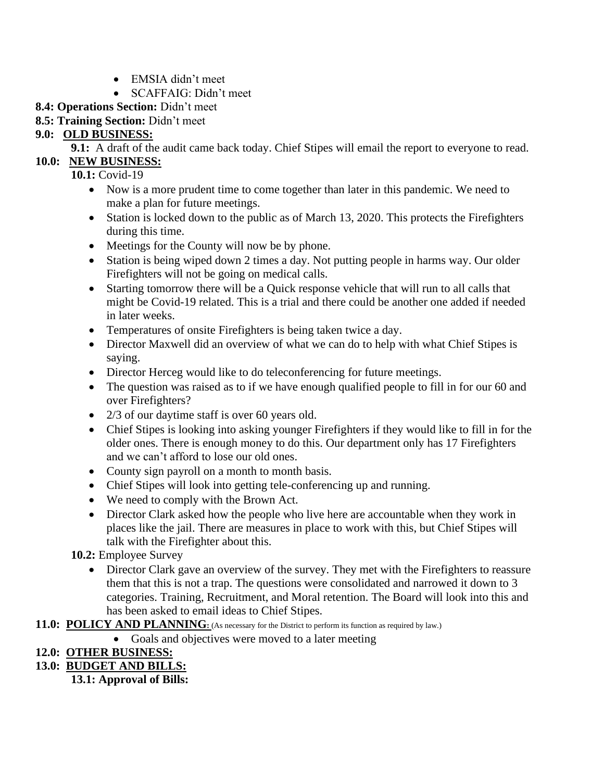- EMSIA didn't meet
- SCAFFAIG: Didn't meet

## **8.4: Operations Section:** Didn't meet

**8.5: Training Section:** Didn't meet

## **9.0: OLD BUSINESS:**

**9.1:** A draft of the audit came back today. Chief Stipes will email the report to everyone to read.

## **10.0: NEW BUSINESS:**

- **10.1:** Covid-19
	- Now is a more prudent time to come together than later in this pandemic. We need to make a plan for future meetings.
	- Station is locked down to the public as of March 13, 2020. This protects the Firefighters during this time.
	- Meetings for the County will now be by phone.
	- Station is being wiped down 2 times a day. Not putting people in harms way. Our older Firefighters will not be going on medical calls.
	- Starting tomorrow there will be a Quick response vehicle that will run to all calls that might be Covid-19 related. This is a trial and there could be another one added if needed in later weeks.
	- Temperatures of onsite Firefighters is being taken twice a day.
	- Director Maxwell did an overview of what we can do to help with what Chief Stipes is saying.
	- Director Herceg would like to do teleconferencing for future meetings.
	- The question was raised as to if we have enough qualified people to fill in for our 60 and over Firefighters?
	- 2/3 of our daytime staff is over 60 years old.
	- Chief Stipes is looking into asking younger Firefighters if they would like to fill in for the older ones. There is enough money to do this. Our department only has 17 Firefighters and we can't afford to lose our old ones.
	- County sign payroll on a month to month basis.
	- Chief Stipes will look into getting tele-conferencing up and running.
	- We need to comply with the Brown Act.
	- Director Clark asked how the people who live here are accountable when they work in places like the jail. There are measures in place to work with this, but Chief Stipes will talk with the Firefighter about this.

**10.2:** Employee Survey

• Director Clark gave an overview of the survey. They met with the Firefighters to reassure them that this is not a trap. The questions were consolidated and narrowed it down to 3 categories. Training, Recruitment, and Moral retention. The Board will look into this and has been asked to email ideas to Chief Stipes.

**11.0: POLICY AND PLANNING**: (As necessary for the District to perform its function as required by law.)

• Goals and objectives were moved to a later meeting

## **12.0: OTHER BUSINESS:**

**13.0: BUDGET AND BILLS:**

**13.1: Approval of Bills:**